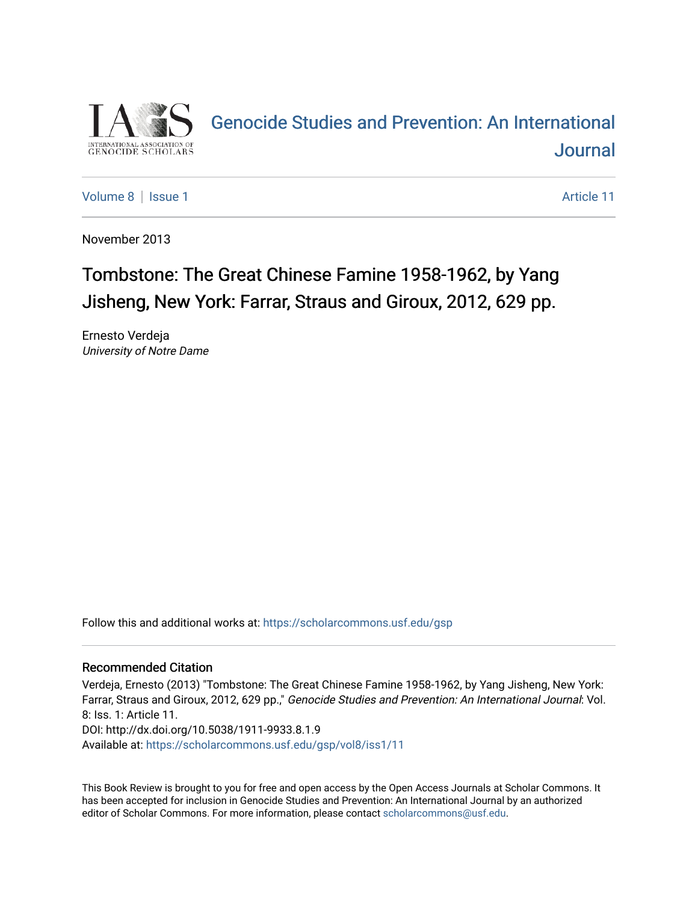

# [Genocide Studies and Prevention: An International](https://scholarcommons.usf.edu/gsp)  **Journal**

[Volume 8](https://scholarcommons.usf.edu/gsp/vol8) | [Issue 1](https://scholarcommons.usf.edu/gsp/vol8/iss1) Article 11

November 2013

## Tombstone: The Great Chinese Famine 1958-1962, by Yang Jisheng, New York: Farrar, Straus and Giroux, 2012, 629 pp.

Ernesto Verdeja University of Notre Dame

Follow this and additional works at: [https://scholarcommons.usf.edu/gsp](https://scholarcommons.usf.edu/gsp?utm_source=scholarcommons.usf.edu%2Fgsp%2Fvol8%2Fiss1%2F11&utm_medium=PDF&utm_campaign=PDFCoverPages)

### Recommended Citation

Verdeja, Ernesto (2013) "Tombstone: The Great Chinese Famine 1958-1962, by Yang Jisheng, New York: Farrar, Straus and Giroux, 2012, 629 pp.," Genocide Studies and Prevention: An International Journal: Vol. 8: Iss. 1: Article 11. DOI: http://dx.doi.org/10.5038/1911-9933.8.1.9 Available at: [https://scholarcommons.usf.edu/gsp/vol8/iss1/11](https://scholarcommons.usf.edu/gsp/vol8/iss1/11?utm_source=scholarcommons.usf.edu%2Fgsp%2Fvol8%2Fiss1%2F11&utm_medium=PDF&utm_campaign=PDFCoverPages) 

This Book Review is brought to you for free and open access by the Open Access Journals at Scholar Commons. It has been accepted for inclusion in Genocide Studies and Prevention: An International Journal by an authorized editor of Scholar Commons. For more information, please contact [scholarcommons@usf.edu.](mailto:scholarcommons@usf.edu)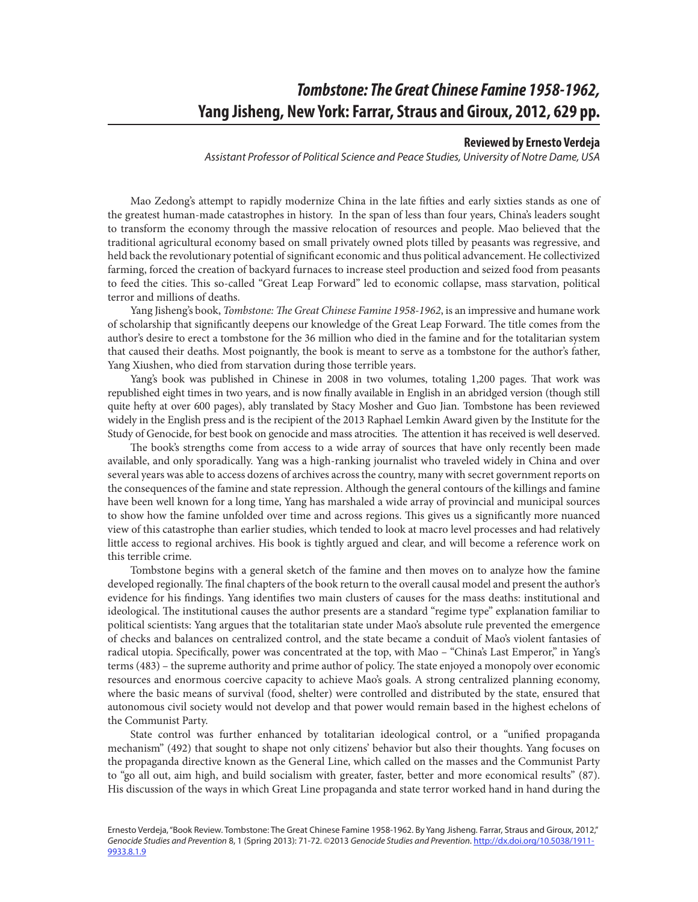## *Tombstone: The Great Chinese Famine 1958-1962,*  **Yang Jisheng, New York: Farrar, Straus and Giroux, 2012, 629 pp.**

### **Reviewed by Ernesto Verdeja**

*Assistant Professor of Political Science and Peace Studies, University of Notre Dame, USA*

Mao Zedong's attempt to rapidly modernize China in the late fifties and early sixties stands as one of the greatest human-made catastrophes in history. In the span of less than four years, China's leaders sought to transform the economy through the massive relocation of resources and people. Mao believed that the traditional agricultural economy based on small privately owned plots tilled by peasants was regressive, and held back the revolutionary potential of significant economic and thus political advancement. He collectivized farming, forced the creation of backyard furnaces to increase steel production and seized food from peasants to feed the cities. This so-called "Great Leap Forward" led to economic collapse, mass starvation, political terror and millions of deaths.

Yang Jisheng's book, *Tombstone: The Great Chinese Famine 1958-1962*, is an impressive and humane work of scholarship that significantly deepens our knowledge of the Great Leap Forward. The title comes from the author's desire to erect a tombstone for the 36 million who died in the famine and for the totalitarian system that caused their deaths. Most poignantly, the book is meant to serve as a tombstone for the author's father, Yang Xiushen, who died from starvation during those terrible years.

Yang's book was published in Chinese in 2008 in two volumes, totaling 1,200 pages. That work was republished eight times in two years, and is now finally available in English in an abridged version (though still quite hefty at over 600 pages), ably translated by Stacy Mosher and Guo Jian. Tombstone has been reviewed widely in the English press and is the recipient of the 2013 Raphael Lemkin Award given by the Institute for the Study of Genocide, for best book on genocide and mass atrocities. The attention it has received is well deserved.

The book's strengths come from access to a wide array of sources that have only recently been made available, and only sporadically. Yang was a high-ranking journalist who traveled widely in China and over several years was able to access dozens of archives across the country, many with secret government reports on the consequences of the famine and state repression. Although the general contours of the killings and famine have been well known for a long time, Yang has marshaled a wide array of provincial and municipal sources to show how the famine unfolded over time and across regions. This gives us a significantly more nuanced view of this catastrophe than earlier studies, which tended to look at macro level processes and had relatively little access to regional archives. His book is tightly argued and clear, and will become a reference work on this terrible crime.

Tombstone begins with a general sketch of the famine and then moves on to analyze how the famine developed regionally. The final chapters of the book return to the overall causal model and present the author's evidence for his findings. Yang identifies two main clusters of causes for the mass deaths: institutional and ideological. The institutional causes the author presents are a standard "regime type" explanation familiar to political scientists: Yang argues that the totalitarian state under Mao's absolute rule prevented the emergence of checks and balances on centralized control, and the state became a conduit of Mao's violent fantasies of radical utopia. Specifically, power was concentrated at the top, with Mao – "China's Last Emperor," in Yang's terms (483) – the supreme authority and prime author of policy. The state enjoyed a monopoly over economic resources and enormous coercive capacity to achieve Mao's goals. A strong centralized planning economy, where the basic means of survival (food, shelter) were controlled and distributed by the state, ensured that autonomous civil society would not develop and that power would remain based in the highest echelons of the Communist Party.

State control was further enhanced by totalitarian ideological control, or a "unified propaganda mechanism" (492) that sought to shape not only citizens' behavior but also their thoughts. Yang focuses on the propaganda directive known as the General Line, which called on the masses and the Communist Party to "go all out, aim high, and build socialism with greater, faster, better and more economical results" (87). His discussion of the ways in which Great Line propaganda and state terror worked hand in hand during the